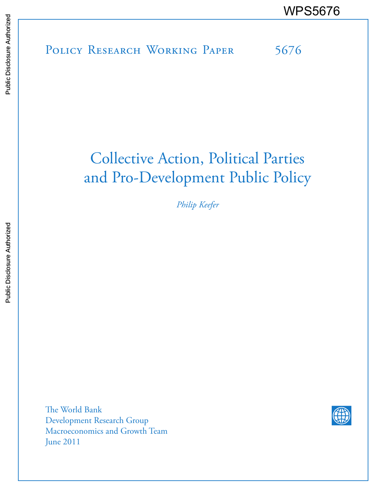POLICY RESEARCH WORKING PAPER 5676 WPS5676<br>
Media<br>
Media<br>
Policy Research Working Paper 5676<br>
Sales<br>
Paper 5676

# Collective Action, Political Parties and Pro-Development Public Policy

*Philip Keefer*

The World Bank Development Research Group Macroeconomics and Growth Team June 2011

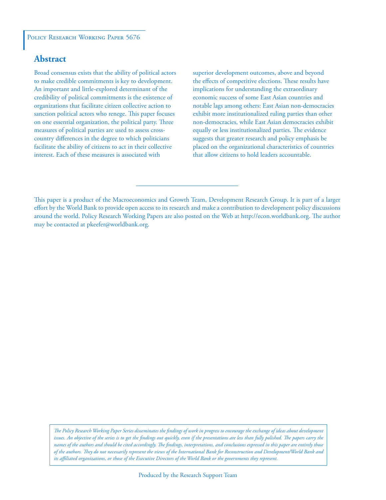#### POLICY RESEARCH WORKING PAPER 5676

### **Abstract**

Broad consensus exists that the ability of political actors to make credible commitments is key to development. An important and little-explored determinant of the credibility of political commitments is the existence of organizations that facilitate citizen collective action to sanction political actors who renege. This paper focuses on one essential organization, the political party. Three measures of political parties are used to assess crosscountry differences in the degree to which politicians facilitate the ability of citizens to act in their collective interest. Each of these measures is associated with

superior development outcomes, above and beyond the effects of competitive elections. These results have implications for understanding the extraordinary economic success of some East Asian countries and notable lags among others: East Asian non-democracies exhibit more institutionalized ruling parties than other non-democracies, while East Asian democracies exhibit equally or less institutionalized parties. The evidence suggests that greater research and policy emphasis be placed on the organizational characteristics of countries that allow citizens to hold leaders accountable.

*The Policy Research Working Paper Series disseminates the findings of work in progress to encourage the exchange of ideas about development*  issues. An objective of the series is to get the findings out quickly, even if the presentations are less than fully polished. The papers carry the *names of the authors and should be cited accordingly. The findings, interpretations, and conclusions expressed in this paper are entirely those of the authors. They do not necessarily represent the views of the International Bank for Reconstruction and Development/World Bank and its affiliated organizations, or those of the Executive Directors of the World Bank or the governments they represent.*

This paper is a product of the Macroeconomics and Growth Team, Development Research Group. It is part of a larger effort by the World Bank to provide open access to its research and make a contribution to development policy discussions around the world. Policy Research Working Papers are also posted on the Web at http://econ.worldbank.org. The author may be contacted at pkeefer@worldbank.org.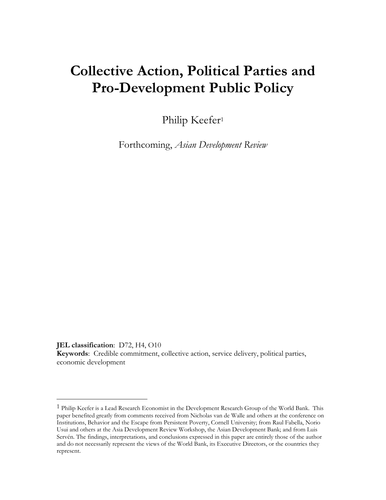## **Collective Action, Political Parties and Pro-Development Public Policy**

Philip Keefer<sup>1</sup>

Forthcoming, *Asian Development Review*

**JEL classification**: D72, H4, O10

 $\overline{a}$ 

**Keywords**: Credible commitment, collective action, service delivery, political parties, economic development

<sup>1</sup> Philip Keefer is a Lead Research Economist in the Development Research Group of the World Bank. This paper benefited greatly from comments received from Nicholas van de Walle and others at the conference on Institutions, Behavior and the Escape from Persistent Poverty, Cornell University; from Raul Fabella, Norio Usui and others at the Asia Development Review Workshop, the Asian Development Bank; and from Luis Servén. The findings, interpretations, and conclusions expressed in this paper are entirely those of the author and do not necessarily represent the views of the World Bank, its Executive Directors, or the countries they represent.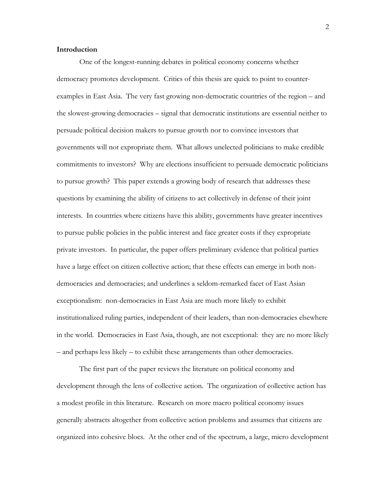#### **Introduction**

One of the longest-running debates in political economy concerns whether democracy promotes development. Critics of this thesis are quick to point to counterexamples in East Asia. The very fast growing non-democratic countries of the region – and the slowest-growing democracies – signal that democratic institutions are essential neither to persuade political decision makers to pursue growth nor to convince investors that governments will not expropriate them. What allows unelected politicians to make credible commitments to investors? Why are elections insufficient to persuade democratic politicians to pursue growth? This paper extends a growing body of research that addresses these questions by examining the ability of citizens to act collectively in defense of their joint interests. In countries where citizens have this ability, governments have greater incentives to pursue public policies in the public interest and face greater costs if they expropriate private investors. In particular, the paper offers preliminary evidence that political parties have a large effect on citizen collective action; that these effects can emerge in both nondemocracies and democracies; and underlines a seldom-remarked facet of East Asian exceptionalism: non-democracies in East Asia are much more likely to exhibit institutionalized ruling parties, independent of their leaders, than non-democracies elsewhere in the world. Democracies in East Asia, though, are not exceptional: they are no more likely – and perhaps less likely – to exhibit these arrangements than other democracies.

The first part of the paper reviews the literature on political economy and development through the lens of collective action. The organization of collective action has a modest profile in this literature. Research on more macro political economy issues generally abstracts altogether from collective action problems and assumes that citizens are organized into cohesive blocs. At the other end of the spectrum, a large, micro development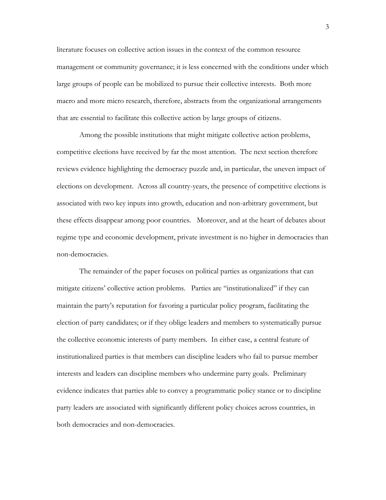literature focuses on collective action issues in the context of the common resource management or community governance; it is less concerned with the conditions under which large groups of people can be mobilized to pursue their collective interests. Both more macro and more micro research, therefore, abstracts from the organizational arrangements that are essential to facilitate this collective action by large groups of citizens.

Among the possible institutions that might mitigate collective action problems, competitive elections have received by far the most attention. The next section therefore reviews evidence highlighting the democracy puzzle and, in particular, the uneven impact of elections on development. Across all country-years, the presence of competitive elections is associated with two key inputs into growth, education and non-arbitrary government, but these effects disappear among poor countries*.* Moreover, and at the heart of debates about regime type and economic development, private investment is no higher in democracies than non-democracies.

The remainder of the paper focuses on political parties as organizations that can mitigate citizens" collective action problems. Parties are "institutionalized" if they can maintain the party"s reputation for favoring a particular policy program, facilitating the election of party candidates; or if they oblige leaders and members to systematically pursue the collective economic interests of party members. In either case, a central feature of institutionalized parties is that members can discipline leaders who fail to pursue member interests and leaders can discipline members who undermine party goals. Preliminary evidence indicates that parties able to convey a programmatic policy stance or to discipline party leaders are associated with significantly different policy choices across countries, in both democracies and non-democracies.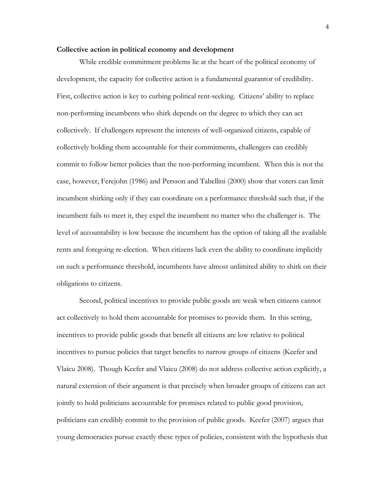#### **Collective action in political economy and development**

While credible commitment problems lie at the heart of the political economy of development, the capacity for collective action is a fundamental guarantor of credibility. First, collective action is key to curbing political rent-seeking. Citizens" ability to replace non-performing incumbents who shirk depends on the degree to which they can act collectively. If challengers represent the interests of well-organized citizens, capable of collectively holding them accountable for their commitments, challengers can credibly commit to follow better policies than the non-performing incumbent. When this is not the case, however, Ferejohn (1986) and Persson and Tabellini (2000) show that voters can limit incumbent shirking only if they can coordinate on a performance threshold such that, if the incumbent fails to meet it, they expel the incumbent no matter who the challenger is. The level of accountability is low because the incumbent has the option of taking all the available rents and foregoing re-election. When citizens lack even the ability to coordinate implicitly on such a performance threshold, incumbents have almost unlimited ability to shirk on their obligations to citizens.

Second, political incentives to provide public goods are weak when citizens cannot act collectively to hold them accountable for promises to provide them. In this setting, incentives to provide public goods that benefit all citizens are low relative to political incentives to pursue policies that target benefits to narrow groups of citizens (Keefer and Vlaicu 2008). Though Keefer and Vlaicu (2008) do not address collective action explicitly, a natural extension of their argument is that precisely when broader groups of citizens can act jointly to hold politicians accountable for promises related to public good provision, politicians can credibly commit to the provision of public goods. Keefer (2007) argues that young democracies pursue exactly these types of policies, consistent with the hypothesis that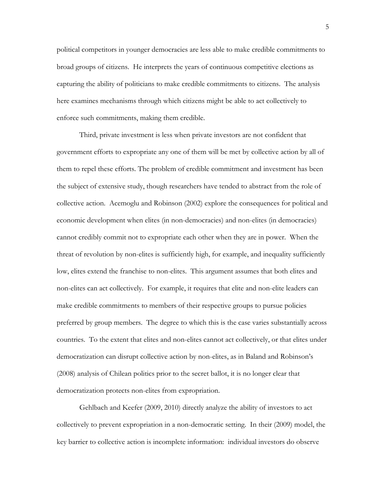political competitors in younger democracies are less able to make credible commitments to broad groups of citizens. He interprets the years of continuous competitive elections as capturing the ability of politicians to make credible commitments to citizens. The analysis here examines mechanisms through which citizens might be able to act collectively to enforce such commitments, making them credible.

Third, private investment is less when private investors are not confident that government efforts to expropriate any one of them will be met by collective action by all of them to repel these efforts. The problem of credible commitment and investment has been the subject of extensive study, though researchers have tended to abstract from the role of collective action. Acemoglu and Robinson (2002) explore the consequences for political and economic development when elites (in non-democracies) and non-elites (in democracies) cannot credibly commit not to expropriate each other when they are in power. When the threat of revolution by non-elites is sufficiently high, for example, and inequality sufficiently low, elites extend the franchise to non-elites. This argument assumes that both elites and non-elites can act collectively. For example, it requires that elite and non-elite leaders can make credible commitments to members of their respective groups to pursue policies preferred by group members. The degree to which this is the case varies substantially across countries. To the extent that elites and non-elites cannot act collectively, or that elites under democratization can disrupt collective action by non-elites, as in Baland and Robinson"s (2008) analysis of Chilean politics prior to the secret ballot, it is no longer clear that democratization protects non-elites from expropriation.

Gehlbach and Keefer (2009, 2010) directly analyze the ability of investors to act collectively to prevent expropriation in a non-democratic setting. In their (2009) model, the key barrier to collective action is incomplete information: individual investors do observe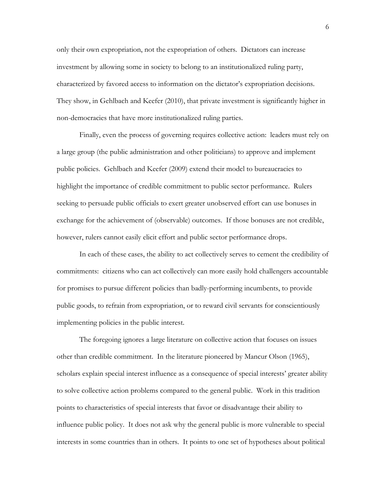only their own expropriation, not the expropriation of others. Dictators can increase investment by allowing some in society to belong to an institutionalized ruling party, characterized by favored access to information on the dictator"s expropriation decisions. They show, in Gehlbach and Keefer (2010), that private investment is significantly higher in non-democracies that have more institutionalized ruling parties.

Finally, even the process of governing requires collective action: leaders must rely on a large group (the public administration and other politicians) to approve and implement public policies. Gehlbach and Keefer (2009) extend their model to bureaucracies to highlight the importance of credible commitment to public sector performance. Rulers seeking to persuade public officials to exert greater unobserved effort can use bonuses in exchange for the achievement of (observable) outcomes. If those bonuses are not credible, however, rulers cannot easily elicit effort and public sector performance drops.

In each of these cases, the ability to act collectively serves to cement the credibility of commitments: citizens who can act collectively can more easily hold challengers accountable for promises to pursue different policies than badly-performing incumbents, to provide public goods, to refrain from expropriation, or to reward civil servants for conscientiously implementing policies in the public interest.

The foregoing ignores a large literature on collective action that focuses on issues other than credible commitment. In the literature pioneered by Mancur Olson (1965), scholars explain special interest influence as a consequence of special interests' greater ability to solve collective action problems compared to the general public. Work in this tradition points to characteristics of special interests that favor or disadvantage their ability to influence public policy. It does not ask why the general public is more vulnerable to special interests in some countries than in others. It points to one set of hypotheses about political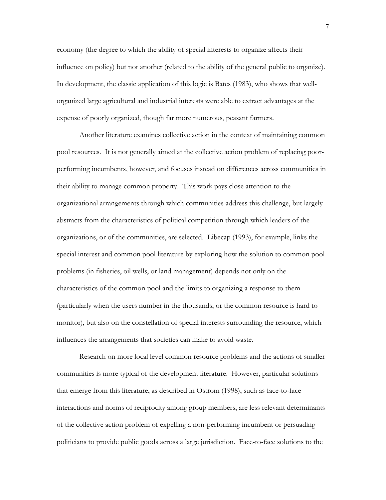economy (the degree to which the ability of special interests to organize affects their influence on policy) but not another (related to the ability of the general public to organize). In development, the classic application of this logic is Bates (1983), who shows that wellorganized large agricultural and industrial interests were able to extract advantages at the expense of poorly organized, though far more numerous, peasant farmers.

Another literature examines collective action in the context of maintaining common pool resources. It is not generally aimed at the collective action problem of replacing poorperforming incumbents, however, and focuses instead on differences across communities in their ability to manage common property. This work pays close attention to the organizational arrangements through which communities address this challenge, but largely abstracts from the characteristics of political competition through which leaders of the organizations, or of the communities, are selected. Libecap (1993), for example, links the special interest and common pool literature by exploring how the solution to common pool problems (in fisheries, oil wells, or land management) depends not only on the characteristics of the common pool and the limits to organizing a response to them (particularly when the users number in the thousands, or the common resource is hard to monitor), but also on the constellation of special interests surrounding the resource, which influences the arrangements that societies can make to avoid waste.

Research on more local level common resource problems and the actions of smaller communities is more typical of the development literature. However, particular solutions that emerge from this literature, as described in Ostrom (1998), such as face-to-face interactions and norms of reciprocity among group members, are less relevant determinants of the collective action problem of expelling a non-performing incumbent or persuading politicians to provide public goods across a large jurisdiction. Face-to-face solutions to the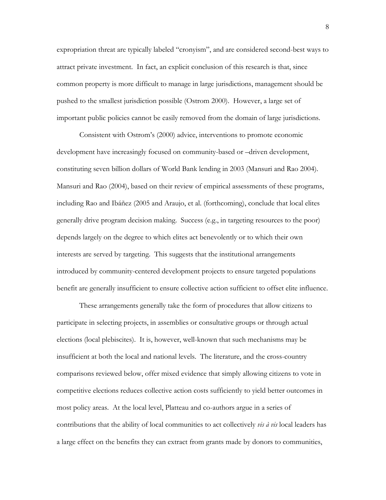expropriation threat are typically labeled "cronyism", and are considered second-best ways to attract private investment. In fact, an explicit conclusion of this research is that, since common property is more difficult to manage in large jurisdictions, management should be pushed to the smallest jurisdiction possible (Ostrom 2000). However, a large set of important public policies cannot be easily removed from the domain of large jurisdictions.

Consistent with Ostrom"s (2000) advice, interventions to promote economic development have increasingly focused on community-based or –driven development, constituting seven billion dollars of World Bank lending in 2003 (Mansuri and Rao 2004). Mansuri and Rao (2004), based on their review of empirical assessments of these programs, including Rao and Ibáñez (2005 and Araujo, et al. (forthcoming), conclude that local elites generally drive program decision making. Success (e.g., in targeting resources to the poor) depends largely on the degree to which elites act benevolently or to which their own interests are served by targeting. This suggests that the institutional arrangements introduced by community-centered development projects to ensure targeted populations benefit are generally insufficient to ensure collective action sufficient to offset elite influence.

These arrangements generally take the form of procedures that allow citizens to participate in selecting projects, in assemblies or consultative groups or through actual elections (local plebiscites). It is, however, well-known that such mechanisms may be insufficient at both the local and national levels. The literature, and the cross-country comparisons reviewed below, offer mixed evidence that simply allowing citizens to vote in competitive elections reduces collective action costs sufficiently to yield better outcomes in most policy areas. At the local level, Platteau and co-authors argue in a series of contributions that the ability of local communities to act collectively *vis à vis* local leaders has a large effect on the benefits they can extract from grants made by donors to communities,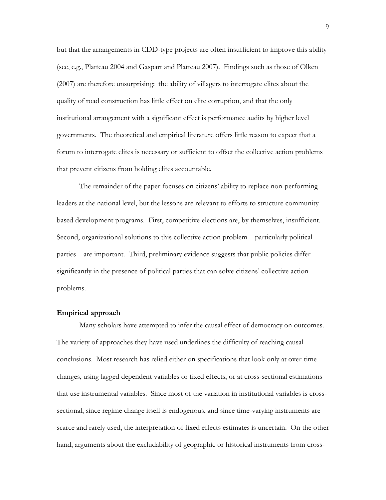but that the arrangements in CDD-type projects are often insufficient to improve this ability (see, e.g., Platteau 2004 and Gaspart and Platteau 2007). Findings such as those of Olken (2007) are therefore unsurprising: the ability of villagers to interrogate elites about the quality of road construction has little effect on elite corruption, and that the only institutional arrangement with a significant effect is performance audits by higher level governments. The theoretical and empirical literature offers little reason to expect that a forum to interrogate elites is necessary or sufficient to offset the collective action problems that prevent citizens from holding elites accountable.

The remainder of the paper focuses on citizens" ability to replace non-performing leaders at the national level, but the lessons are relevant to efforts to structure communitybased development programs. First, competitive elections are, by themselves, insufficient. Second, organizational solutions to this collective action problem – particularly political parties – are important. Third, preliminary evidence suggests that public policies differ significantly in the presence of political parties that can solve citizens" collective action problems.

#### **Empirical approach**

Many scholars have attempted to infer the causal effect of democracy on outcomes. The variety of approaches they have used underlines the difficulty of reaching causal conclusions. Most research has relied either on specifications that look only at over-time changes, using lagged dependent variables or fixed effects, or at cross-sectional estimations that use instrumental variables. Since most of the variation in institutional variables is crosssectional, since regime change itself is endogenous, and since time-varying instruments are scarce and rarely used, the interpretation of fixed effects estimates is uncertain. On the other hand, arguments about the excludability of geographic or historical instruments from cross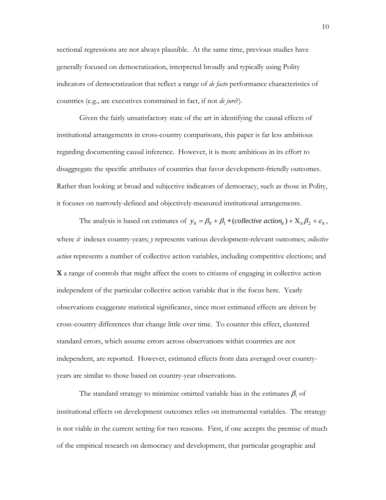sectional regressions are not always plausible. At the same time, previous studies have generally focused on democratization, interpreted broadly and typically using Polity indicators of democratization that reflect a range of *de facto* performance characteristics of countries (e.g., are executives constrained in fact, if not *de jure*?).

Given the fairly unsatisfactory state of the art in identifying the causal effects of institutional arrangements in cross-country comparisons, this paper is far less ambitious regarding documenting causal inference. However, it is more ambitious in its effort to disaggregate the specific attributes of countries that favor development-friendly outcomes. Rather than looking at broad and subjective indicators of democracy, such as those in Polity, it focuses on narrowly-defined and objectively-measured institutional arrangements.

The analysis is based on estimates of  $y_{it} = \beta_0 + \beta_1 * (collective action_{it}) + X_{it}\beta_2 + \varepsilon_{it}$ , where *it* indexes country-years; *y* represents various development-relevant outcomes; *collective action* represents a number of collective action variables, including competitive elections; and **X** a range of controls that might affect the costs to citizens of engaging in collective action independent of the particular collective action variable that is the focus here. Yearly observations exaggerate statistical significance, since most estimated effects are driven by cross-country differences that change little over time. To counter this effect, clustered standard errors, which assume errors across observations within countries are not independent, are reported. However, estimated effects from data averaged over countryyears are similar to those based on country-year observations.

The standard strategy to minimize omitted variable bias in the estimates  $\beta_1$  of institutional effects on development outcomes relies on instrumental variables. The strategy is not viable in the current setting for two reasons. First, if one accepts the premise of much of the empirical research on democracy and development, that particular geographic and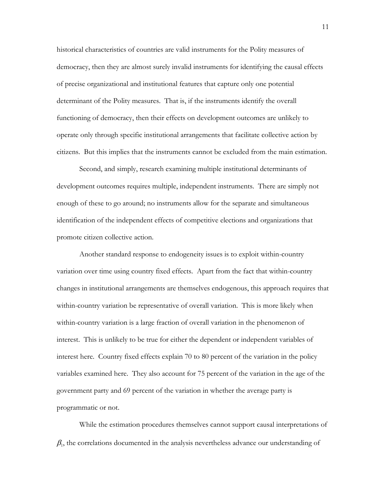historical characteristics of countries are valid instruments for the Polity measures of democracy, then they are almost surely invalid instruments for identifying the causal effects of precise organizational and institutional features that capture only one potential determinant of the Polity measures. That is, if the instruments identify the overall functioning of democracy, then their effects on development outcomes are unlikely to operate only through specific institutional arrangements that facilitate collective action by citizens. But this implies that the instruments cannot be excluded from the main estimation.

Second, and simply, research examining multiple institutional determinants of development outcomes requires multiple, independent instruments. There are simply not enough of these to go around; no instruments allow for the separate and simultaneous identification of the independent effects of competitive elections and organizations that promote citizen collective action.

Another standard response to endogeneity issues is to exploit within-country variation over time using country fixed effects. Apart from the fact that within-country changes in institutional arrangements are themselves endogenous, this approach requires that within-country variation be representative of overall variation. This is more likely when within-country variation is a large fraction of overall variation in the phenomenon of interest. This is unlikely to be true for either the dependent or independent variables of interest here. Country fixed effects explain 70 to 80 percent of the variation in the policy variables examined here. They also account for 75 percent of the variation in the age of the government party and 69 percent of the variation in whether the average party is programmatic or not.

While the estimation procedures themselves cannot support causal interpretations of  $\beta_1$ , the correlations documented in the analysis nevertheless advance our understanding of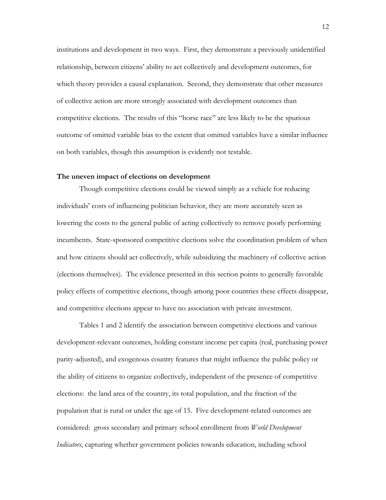institutions and development in two ways. First, they demonstrate a previously unidentified relationship, between citizens" ability to act collectively and development outcomes, for which theory provides a causal explanation. Second, they demonstrate that other measures of collective action are more strongly associated with development outcomes than competitive elections. The results of this "horse race" are less likely to be the spurious outcome of omitted variable bias to the extent that omitted variables have a similar influence on both variables, though this assumption is evidently not testable.

#### **The uneven impact of elections on development**

Though competitive elections could be viewed simply as a vehicle for reducing individuals" costs of influencing politician behavior, they are more accurately seen as lowering the costs to the general public of acting collectively to remove poorly performing incumbents. State-sponsored competitive elections solve the coordination problem of when and how citizens should act collectively, while subsidizing the machinery of collective action (elections themselves). The evidence presented in this section points to generally favorable policy effects of competitive elections, though among poor countries these effects disappear, and competitive elections appear to have no association with private investment.

Tables 1 and 2 identify the association between competitive elections and various development-relevant outcomes, holding constant income per capita (real, purchasing power parity-adjusted), and exogenous country features that might influence the public policy or the ability of citizens to organize collectively, independent of the presence of competitive elections: the land area of the country, its total population, and the fraction of the population that is rural or under the age of 15. Five development-related outcomes are considered: gross secondary and primary school enrollment from *World Development Indicators*, capturing whether government policies towards education, including school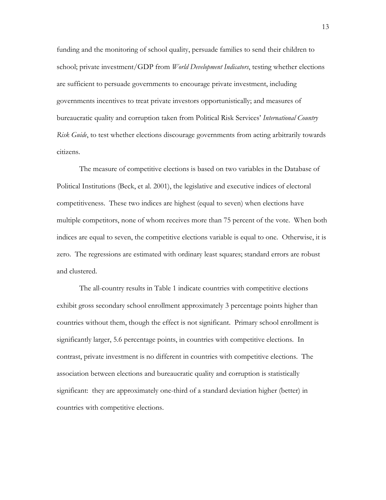funding and the monitoring of school quality, persuade families to send their children to school; private investment/GDP from *World Development Indicators*, testing whether elections are sufficient to persuade governments to encourage private investment, including governments incentives to treat private investors opportunistically; and measures of bureaucratic quality and corruption taken from Political Risk Services" *International Country Risk Guide*, to test whether elections discourage governments from acting arbitrarily towards citizens.

The measure of competitive elections is based on two variables in the Database of Political Institutions (Beck, et al. 2001), the legislative and executive indices of electoral competitiveness. These two indices are highest (equal to seven) when elections have multiple competitors, none of whom receives more than 75 percent of the vote. When both indices are equal to seven, the competitive elections variable is equal to one. Otherwise, it is zero. The regressions are estimated with ordinary least squares; standard errors are robust and clustered.

The all-country results in Table 1 indicate countries with competitive elections exhibit gross secondary school enrollment approximately 3 percentage points higher than countries without them, though the effect is not significant. Primary school enrollment is significantly larger, 5.6 percentage points, in countries with competitive elections. In contrast, private investment is no different in countries with competitive elections. The association between elections and bureaucratic quality and corruption is statistically significant: they are approximately one-third of a standard deviation higher (better) in countries with competitive elections.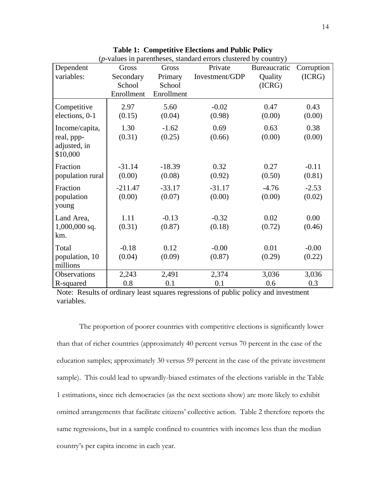| Dependent                  | Gross      | Gross      | Private        | Bureaucratic | Corruption |
|----------------------------|------------|------------|----------------|--------------|------------|
| variables:                 | Secondary  | Primary    | Investment/GDP | Quality      | (ICRG)     |
|                            | School     | School     |                | (ICRG)       |            |
|                            | Enrollment | Enrollment |                |              |            |
| Competitive                | 2.97       | 5.60       | $-0.02$        | 0.47         | 0.43       |
| elections, 0-1             | (0.15)     | (0.04)     | (0.98)         | (0.00)       | (0.00)     |
| Income/capita,             | 1.30       | $-1.62$    | 0.69           | 0.63         | 0.38       |
| real, ppp-                 | (0.31)     | (0.25)     | (0.66)         | (0.00)       | (0.00)     |
| adjusted, in<br>\$10,000   |            |            |                |              |            |
| Fraction                   | $-31.14$   | $-18.39$   | 0.32           | 0.27         | $-0.11$    |
| population rural           | (0.00)     | (0.08)     | (0.92)         | (0.50)       | (0.81)     |
| Fraction                   | $-211.47$  | $-33.17$   | $-31.17$       | $-4.76$      | $-2.53$    |
| population                 | (0.00)     | (0.07)     | (0.00)         | (0.00)       | (0.02)     |
| young                      |            |            |                |              |            |
| Land Area,                 | 1.11       | $-0.13$    | $-0.32$        | 0.02         | 0.00       |
| $1,000,000$ sq.            | (0.31)     | (0.87)     | (0.18)         | (0.72)       | (0.46)     |
| km.                        |            |            |                |              |            |
| Total                      | $-0.18$    | 0.12       | $-0.00$        | 0.01         | $-0.00$    |
| population, 10<br>millions | (0.04)     | (0.09)     | (0.87)         | (0.29)       | (0.22)     |
| Observations               | 2,243      | 2,491      | 2,374          | 3,036        | 3,036      |
| R-squared                  | 0.8        | 0.1        | 0.1            | 0.6          | 0.3        |

**Table 1: Competitive Elections and Public Policy** (*p*-values in parentheses, standard errors clustered by country)

Note: Results of ordinary least squares regressions of public policy and investment variables.

The proportion of poorer countries with competitive elections is significantly lower than that of richer countries (approximately 40 percent versus 70 percent in the case of the education samples; approximately 30 versus 59 percent in the case of the private investment sample). This could lead to upwardly-biased estimates of the elections variable in the Table 1 estimations, since rich democracies (as the next sections show) are more likely to exhibit omitted arrangements that facilitate citizens" collective action. Table 2 therefore reports the same regressions, but in a sample confined to countries with incomes less than the median country"s per capita income in each year.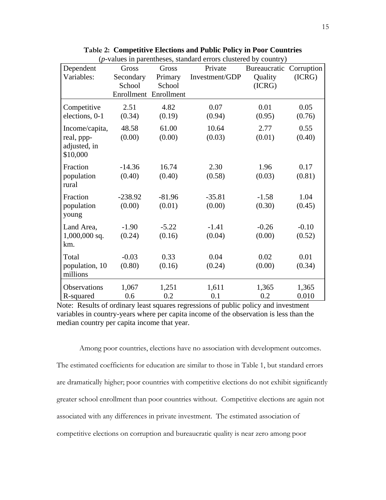| Dependent                                    | Gross           | Gross                 | Private         | Bureaucratic   | Corruption     |
|----------------------------------------------|-----------------|-----------------------|-----------------|----------------|----------------|
| Variables:                                   | Secondary       | Primary               | Investment/GDP  | Quality        | (ICRG)         |
|                                              | School          | School                |                 | (ICRG)         |                |
|                                              |                 | Enrollment Enrollment |                 |                |                |
| Competitive<br>elections, 0-1                | 2.51<br>(0.34)  | 4.82<br>(0.19)        | 0.07<br>(0.94)  | 0.01<br>(0.95) | 0.05<br>(0.76) |
|                                              |                 |                       |                 |                |                |
| Income/capita,<br>real, ppp-<br>adjusted, in | 48.58<br>(0.00) | 61.00<br>(0.00)       | 10.64<br>(0.03) | 2.77<br>(0.01) | 0.55<br>(0.40) |
| \$10,000                                     |                 |                       |                 |                |                |
| Fraction                                     | $-14.36$        | 16.74                 | 2.30            | 1.96           | 0.17           |
| population<br>rural                          | (0.40)          | (0.40)                | (0.58)          | (0.03)         | (0.81)         |
| Fraction                                     | $-238.92$       | $-81.96$              | $-35.81$        | $-1.58$        | 1.04           |
| population                                   | (0.00)          | (0.01)                | (0.00)          | (0.30)         | (0.45)         |
| young                                        |                 |                       |                 |                |                |
| Land Area,                                   | $-1.90$         | $-5.22$               | $-1.41$         | $-0.26$        | $-0.10$        |
| $1,000,000$ sq.                              | (0.24)          | (0.16)                | (0.04)          | (0.00)         | (0.52)         |
| km.                                          |                 |                       |                 |                |                |
| Total                                        | $-0.03$         | 0.33                  | 0.04            | 0.02           | 0.01           |
| population, 10<br>millions                   | (0.80)          | (0.16)                | (0.24)          | (0.00)         | (0.34)         |
| Observations                                 | 1,067           | 1,251                 | 1,611           | 1,365          | 1,365          |
| R-squared                                    | 0.6             | 0.2                   | 0.1             | 0.2            | 0.010          |

**Table 2: Competitive Elections and Public Policy in Poor Countries** (*p*-values in parentheses, standard errors clustered by country)

Note: Results of ordinary least squares regressions of public policy and investment variables in country-years where per capita income of the observation is less than the median country per capita income that year.

Among poor countries, elections have no association with development outcomes. The estimated coefficients for education are similar to those in Table 1, but standard errors are dramatically higher; poor countries with competitive elections do not exhibit significantly greater school enrollment than poor countries without. Competitive elections are again not associated with any differences in private investment. The estimated association of competitive elections on corruption and bureaucratic quality is near zero among poor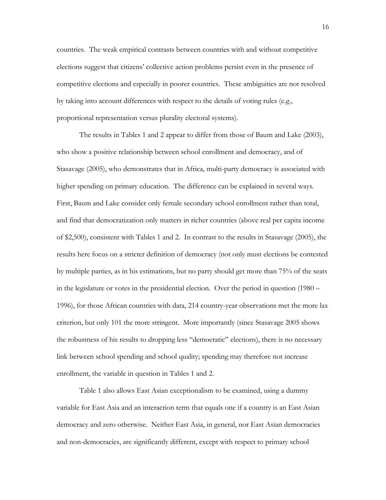countries. The weak empirical contrasts between countries with and without competitive elections suggest that citizens" collective action problems persist even in the presence of competitive elections and especially in poorer countries. These ambiguities are not resolved by taking into account differences with respect to the details of voting rules (e.g., proportional representation versus plurality electoral systems).

The results in Tables 1 and 2 appear to differ from those of Baum and Lake (2003), who show a positive relationship between school enrollment and democracy, and of Stasavage (2005), who demonstrates that in Africa, multi-party democracy is associated with higher spending on primary education. The difference can be explained in several ways. First, Baum and Lake consider only female secondary school enrollment rather than total, and find that democratization only matters in richer countries (above real per capita income of \$2,500), consistent with Tables 1 and 2. In contrast to the results in Stasavage (2005), the results here focus on a stricter definition of democracy (not only must elections be contested by multiple parties, as in his estimations, but no party should get more than 75% of the seats in the legislature or votes in the presidential election. Over the period in question (1980 – 1996), for those African countries with data, 214 country-year observations met the more lax criterion, but only 101 the more stringent. More importantly (since Stasavage 2005 shows the robustness of his results to dropping less "democratic" elections), there is no necessary link between school spending and school quality; spending may therefore not increase enrollment, the variable in question in Tables 1 and 2.

Table 1 also allows East Asian exceptionalism to be examined, using a dummy variable for East Asia and an interaction term that equals one if a country is an East Asian democracy and zero otherwise. Neither East Asia, in general, nor East Asian democracies and non-democracies, are significantly different, except with respect to primary school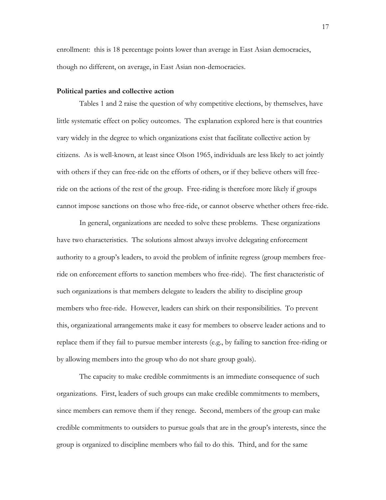enrollment: this is 18 percentage points lower than average in East Asian democracies, though no different, on average, in East Asian non-democracies.

#### **Political parties and collective action**

Tables 1 and 2 raise the question of why competitive elections, by themselves, have little systematic effect on policy outcomes. The explanation explored here is that countries vary widely in the degree to which organizations exist that facilitate collective action by citizens. As is well-known, at least since Olson 1965, individuals are less likely to act jointly with others if they can free-ride on the efforts of others, or if they believe others will freeride on the actions of the rest of the group. Free-riding is therefore more likely if groups cannot impose sanctions on those who free-ride, or cannot observe whether others free-ride.

In general, organizations are needed to solve these problems. These organizations have two characteristics. The solutions almost always involve delegating enforcement authority to a group"s leaders, to avoid the problem of infinite regress (group members freeride on enforcement efforts to sanction members who free-ride). The first characteristic of such organizations is that members delegate to leaders the ability to discipline group members who free-ride. However, leaders can shirk on their responsibilities. To prevent this, organizational arrangements make it easy for members to observe leader actions and to replace them if they fail to pursue member interests (e.g., by failing to sanction free-riding or by allowing members into the group who do not share group goals).

The capacity to make credible commitments is an immediate consequence of such organizations. First, leaders of such groups can make credible commitments to members, since members can remove them if they renege. Second, members of the group can make credible commitments to outsiders to pursue goals that are in the group"s interests, since the group is organized to discipline members who fail to do this. Third, and for the same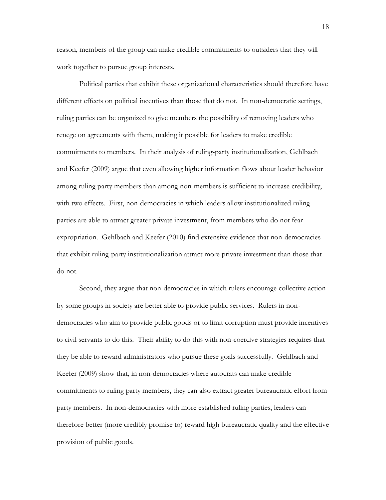reason, members of the group can make credible commitments to outsiders that they will work together to pursue group interests.

Political parties that exhibit these organizational characteristics should therefore have different effects on political incentives than those that do not. In non-democratic settings, ruling parties can be organized to give members the possibility of removing leaders who renege on agreements with them, making it possible for leaders to make credible commitments to members. In their analysis of ruling-party institutionalization, Gehlbach and Keefer (2009) argue that even allowing higher information flows about leader behavior among ruling party members than among non-members is sufficient to increase credibility, with two effects. First, non-democracies in which leaders allow institutionalized ruling parties are able to attract greater private investment, from members who do not fear expropriation. Gehlbach and Keefer (2010) find extensive evidence that non-democracies that exhibit ruling-party institutionalization attract more private investment than those that do not.

Second, they argue that non-democracies in which rulers encourage collective action by some groups in society are better able to provide public services. Rulers in nondemocracies who aim to provide public goods or to limit corruption must provide incentives to civil servants to do this. Their ability to do this with non-coercive strategies requires that they be able to reward administrators who pursue these goals successfully. Gehlbach and Keefer (2009) show that, in non-democracies where autocrats can make credible commitments to ruling party members, they can also extract greater bureaucratic effort from party members. In non-democracies with more established ruling parties, leaders can therefore better (more credibly promise to) reward high bureaucratic quality and the effective provision of public goods.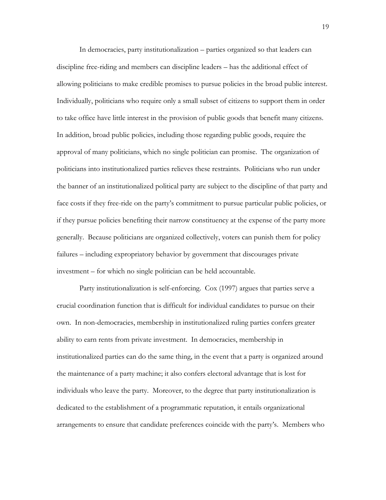In democracies, party institutionalization – parties organized so that leaders can discipline free-riding and members can discipline leaders – has the additional effect of allowing politicians to make credible promises to pursue policies in the broad public interest. Individually, politicians who require only a small subset of citizens to support them in order to take office have little interest in the provision of public goods that benefit many citizens. In addition, broad public policies, including those regarding public goods, require the approval of many politicians, which no single politician can promise. The organization of politicians into institutionalized parties relieves these restraints. Politicians who run under the banner of an institutionalized political party are subject to the discipline of that party and face costs if they free-ride on the party"s commitment to pursue particular public policies, or if they pursue policies benefiting their narrow constituency at the expense of the party more generally. Because politicians are organized collectively, voters can punish them for policy failures – including expropriatory behavior by government that discourages private investment – for which no single politician can be held accountable.

Party institutionalization is self-enforcing. Cox (1997) argues that parties serve a crucial coordination function that is difficult for individual candidates to pursue on their own. In non-democracies, membership in institutionalized ruling parties confers greater ability to earn rents from private investment. In democracies, membership in institutionalized parties can do the same thing, in the event that a party is organized around the maintenance of a party machine; it also confers electoral advantage that is lost for individuals who leave the party. Moreover, to the degree that party institutionalization is dedicated to the establishment of a programmatic reputation, it entails organizational arrangements to ensure that candidate preferences coincide with the party"s. Members who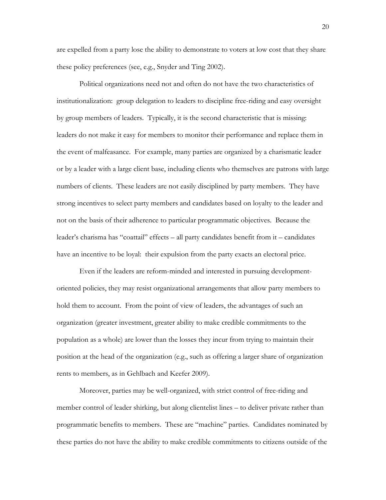are expelled from a party lose the ability to demonstrate to voters at low cost that they share these policy preferences (see, e.g., Snyder and Ting 2002).

Political organizations need not and often do not have the two characteristics of institutionalization: group delegation to leaders to discipline free-riding and easy oversight by group members of leaders. Typically, it is the second characteristic that is missing: leaders do not make it easy for members to monitor their performance and replace them in the event of malfeasance. For example, many parties are organized by a charismatic leader or by a leader with a large client base, including clients who themselves are patrons with large numbers of clients. These leaders are not easily disciplined by party members. They have strong incentives to select party members and candidates based on loyalty to the leader and not on the basis of their adherence to particular programmatic objectives. Because the leader"s charisma has "coattail" effects – all party candidates benefit from it – candidates have an incentive to be loyal: their expulsion from the party exacts an electoral price.

Even if the leaders are reform-minded and interested in pursuing developmentoriented policies, they may resist organizational arrangements that allow party members to hold them to account. From the point of view of leaders, the advantages of such an organization (greater investment, greater ability to make credible commitments to the population as a whole) are lower than the losses they incur from trying to maintain their position at the head of the organization (e.g., such as offering a larger share of organization rents to members, as in Gehlbach and Keefer 2009).

Moreover, parties may be well-organized, with strict control of free-riding and member control of leader shirking, but along clientelist lines – to deliver private rather than programmatic benefits to members. These are "machine" parties. Candidates nominated by these parties do not have the ability to make credible commitments to citizens outside of the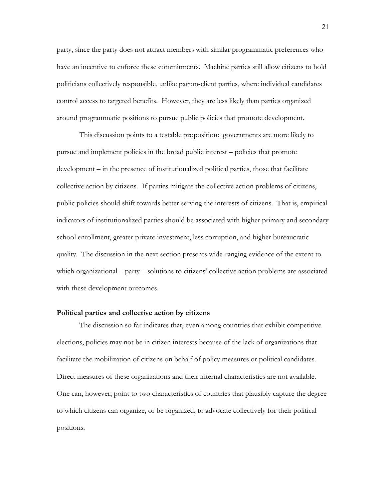party, since the party does not attract members with similar programmatic preferences who have an incentive to enforce these commitments. Machine parties still allow citizens to hold politicians collectively responsible, unlike patron-client parties, where individual candidates control access to targeted benefits. However, they are less likely than parties organized around programmatic positions to pursue public policies that promote development.

This discussion points to a testable proposition: governments are more likely to pursue and implement policies in the broad public interest – policies that promote development – in the presence of institutionalized political parties, those that facilitate collective action by citizens. If parties mitigate the collective action problems of citizens, public policies should shift towards better serving the interests of citizens. That is, empirical indicators of institutionalized parties should be associated with higher primary and secondary school enrollment, greater private investment, less corruption, and higher bureaucratic quality. The discussion in the next section presents wide-ranging evidence of the extent to which organizational – party – solutions to citizens" collective action problems are associated with these development outcomes.

#### **Political parties and collective action by citizens**

The discussion so far indicates that, even among countries that exhibit competitive elections, policies may not be in citizen interests because of the lack of organizations that facilitate the mobilization of citizens on behalf of policy measures or political candidates. Direct measures of these organizations and their internal characteristics are not available. One can, however, point to two characteristics of countries that plausibly capture the degree to which citizens can organize, or be organized, to advocate collectively for their political positions.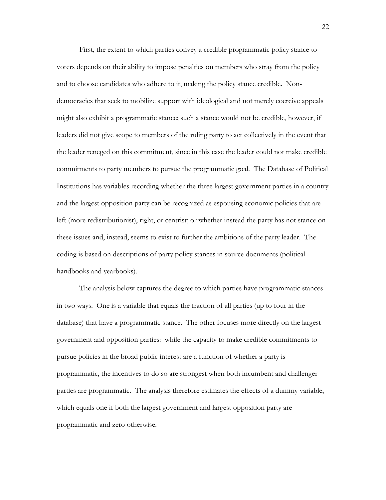First, the extent to which parties convey a credible programmatic policy stance to voters depends on their ability to impose penalties on members who stray from the policy and to choose candidates who adhere to it, making the policy stance credible. Nondemocracies that seek to mobilize support with ideological and not merely coercive appeals might also exhibit a programmatic stance; such a stance would not be credible, however, if leaders did not give scope to members of the ruling party to act collectively in the event that the leader reneged on this commitment, since in this case the leader could not make credible commitments to party members to pursue the programmatic goal. The Database of Political Institutions has variables recording whether the three largest government parties in a country and the largest opposition party can be recognized as espousing economic policies that are left (more redistributionist), right, or centrist; or whether instead the party has not stance on these issues and, instead, seems to exist to further the ambitions of the party leader. The coding is based on descriptions of party policy stances in source documents (political handbooks and yearbooks).

The analysis below captures the degree to which parties have programmatic stances in two ways. One is a variable that equals the fraction of all parties (up to four in the database) that have a programmatic stance. The other focuses more directly on the largest government and opposition parties: while the capacity to make credible commitments to pursue policies in the broad public interest are a function of whether a party is programmatic, the incentives to do so are strongest when both incumbent and challenger parties are programmatic. The analysis therefore estimates the effects of a dummy variable, which equals one if both the largest government and largest opposition party are programmatic and zero otherwise.

22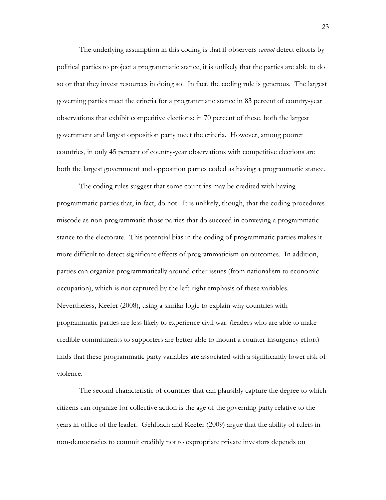The underlying assumption in this coding is that if observers *cannot* detect efforts by political parties to project a programmatic stance, it is unlikely that the parties are able to do so or that they invest resources in doing so. In fact, the coding rule is generous. The largest governing parties meet the criteria for a programmatic stance in 83 percent of country-year observations that exhibit competitive elections; in 70 percent of these, both the largest government and largest opposition party meet the criteria. However, among poorer countries, in only 45 percent of country-year observations with competitive elections are both the largest government and opposition parties coded as having a programmatic stance.

The coding rules suggest that some countries may be credited with having programmatic parties that, in fact, do not. It is unlikely, though, that the coding procedures miscode as non-programmatic those parties that do succeed in conveying a programmatic stance to the electorate. This potential bias in the coding of programmatic parties makes it more difficult to detect significant effects of programmaticism on outcomes. In addition, parties can organize programmatically around other issues (from nationalism to economic occupation), which is not captured by the left-right emphasis of these variables. Nevertheless, Keefer (2008), using a similar logic to explain why countries with programmatic parties are less likely to experience civil war: (leaders who are able to make credible commitments to supporters are better able to mount a counter-insurgency effort) finds that these programmatic party variables are associated with a significantly lower risk of violence.

The second characteristic of countries that can plausibly capture the degree to which citizens can organize for collective action is the age of the governing party relative to the years in office of the leader. Gehlbach and Keefer (2009) argue that the ability of rulers in non-democracies to commit credibly not to expropriate private investors depends on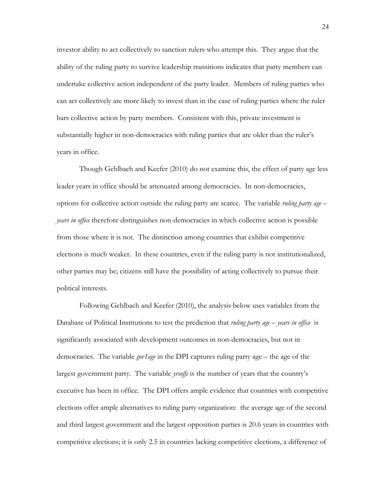investor ability to act collectively to sanction rulers who attempt this. They argue that the ability of the ruling party to survive leadership transitions indicates that party members can undertake collective action independent of the party leader. Members of ruling parties who can act collectively are more likely to invest than in the case of ruling parties where the ruler bars collective action by party members. Consistent with this, private investment is substantially higher in non-democracies with ruling parties that are older than the ruler's years in office.

Though Gehlbach and Keefer (2010) do not examine this, the effect of party age less leader years in office should be attenuated among democracies. In non-democracies, options for collective action outside the ruling party are scarce. The variable *ruling party age – years in office* therefore distinguishes non-democracies in which collective action is possible from those where it is not. The distinction among countries that exhibit competitive elections is much weaker. In these countries, even if the ruling party is not institutionalized, other parties may be; citizens still have the possibility of acting collectively to pursue their political interests.

Following Gehlbach and Keefer (2010), the analysis below uses variables from the Database of Political Institutions to test the prediction that *ruling party age – years in office* is significantly associated with development outcomes in non-democracies, but not in democracies. The variable *gov1age* in the DPI captures ruling party age – the age of the largest government party. The variable *yrsoffc* is the number of years that the country's executive has been in office. The DPI offers ample evidence that countries with competitive elections offer ample alternatives to ruling party organization: the average age of the second and third largest government and the largest opposition parties is 20.6 years in countries with competitive elections; it is only 2.5 in countries lacking competitive elections, a difference of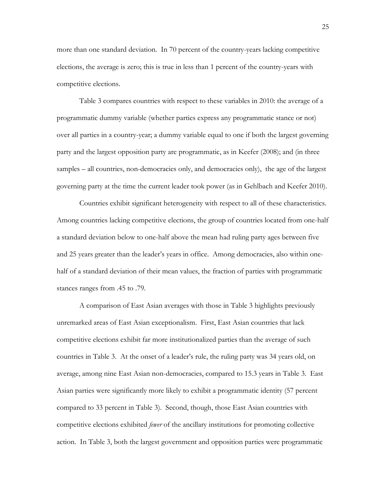more than one standard deviation. In 70 percent of the country-years lacking competitive elections, the average is zero; this is true in less than 1 percent of the country-years with competitive elections.

Table 3 compares countries with respect to these variables in 2010: the average of a programmatic dummy variable (whether parties express any programmatic stance or not) over all parties in a country-year; a dummy variable equal to one if both the largest governing party and the largest opposition party are programmatic, as in Keefer (2008); and (in three samples – all countries, non-democracies only, and democracies only), the age of the largest governing party at the time the current leader took power (as in Gehlbach and Keefer 2010).

Countries exhibit significant heterogeneity with respect to all of these characteristics. Among countries lacking competitive elections, the group of countries located from one-half a standard deviation below to one-half above the mean had ruling party ages between five and 25 years greater than the leader"s years in office. Among democracies, also within onehalf of a standard deviation of their mean values, the fraction of parties with programmatic stances ranges from .45 to .79.

A comparison of East Asian averages with those in Table 3 highlights previously unremarked areas of East Asian exceptionalism. First, East Asian countries that lack competitive elections exhibit far more institutionalized parties than the average of such countries in Table 3. At the onset of a leader"s rule, the ruling party was 34 years old, on average, among nine East Asian non-democracies, compared to 15.3 years in Table 3. East Asian parties were significantly more likely to exhibit a programmatic identity (57 percent compared to 33 percent in Table 3). Second, though, those East Asian countries with competitive elections exhibited *fewer* of the ancillary institutions for promoting collective action. In Table 3, both the largest government and opposition parties were programmatic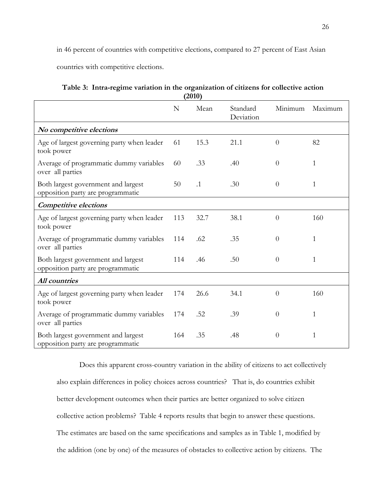in 46 percent of countries with competitive elections, compared to 27 percent of East Asian

countries with competitive elections.

|                                                                          |     | ( ∠ا ∪∠)  |                       |                |              |
|--------------------------------------------------------------------------|-----|-----------|-----------------------|----------------|--------------|
|                                                                          | N   | Mean      | Standard<br>Deviation | Minimum        | Maximum      |
| No competitive elections                                                 |     |           |                       |                |              |
| Age of largest governing party when leader<br>took power                 | 61  | 15.3      | 21.1                  | $\overline{0}$ | 82           |
| Average of programmatic dummy variables<br>over all parties              | 60  | .33       | .40                   | $\overline{0}$ | $\mathbf{1}$ |
| Both largest government and largest<br>opposition party are programmatic | 50  | $\cdot$ 1 | .30                   | $\theta$       | $\mathbf{1}$ |
| <b>Competitive elections</b>                                             |     |           |                       |                |              |
| Age of largest governing party when leader<br>took power                 | 113 | 32.7      | 38.1                  | $\theta$       | 160          |
| Average of programmatic dummy variables<br>over all parties              | 114 | .62       | .35                   | $\theta$       | 1            |
| Both largest government and largest<br>opposition party are programmatic | 114 | .46       | .50                   | $\theta$       | 1            |
| All countries                                                            |     |           |                       |                |              |
| Age of largest governing party when leader<br>took power                 | 174 | 26.6      | 34.1                  | $\theta$       | 160          |
| Average of programmatic dummy variables<br>over all parties              | 174 | .52       | .39                   | $\theta$       | 1            |
| Both largest government and largest<br>opposition party are programmatic | 164 | .35       | .48                   | $\theta$       | 1            |

| Table 3: Intra-regime variation in the organization of citizens for collective action |
|---------------------------------------------------------------------------------------|
| (2010)                                                                                |

Does this apparent cross-country variation in the ability of citizens to act collectively also explain differences in policy choices across countries? That is, do countries exhibit better development outcomes when their parties are better organized to solve citizen collective action problems? Table 4 reports results that begin to answer these questions. The estimates are based on the same specifications and samples as in Table 1, modified by the addition (one by one) of the measures of obstacles to collective action by citizens. The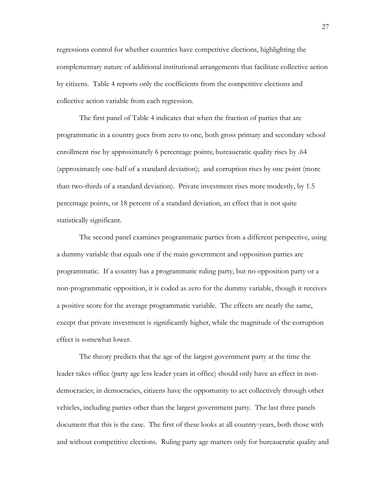regressions control for whether countries have competitive elections, highlighting the complementary nature of additional institutional arrangements that facilitate collective action by citizens. Table 4 reports only the coefficients from the competitive elections and collective action variable from each regression.

The first panel of Table 4 indicates that when the fraction of parties that are programmatic in a country goes from zero to one, both gross primary and secondary school enrollment rise by approximately 6 percentage points; bureaucratic quality rises by .64 (approximately one-half of a standard deviation); and corruption rises by one point (more than two-thirds of a standard deviation). Private investment rises more modestly, by 1.5 percentage points, or 18 percent of a standard deviation, an effect that is not quite statistically significant.

The second panel examines programmatic parties from a different perspective, using a dummy variable that equals one if the main government and opposition parties are programmatic. If a country has a programmatic ruling party, but no opposition party or a non-programmatic opposition, it is coded as zero for the dummy variable, though it receives a positive score for the average programmatic variable. The effects are nearly the same, except that private investment is significantly higher, while the magnitude of the corruption effect is somewhat lower.

The theory predicts that the age of the largest government party at the time the leader takes office (party age less leader years in office) should only have an effect in nondemocracies; in democracies, citizens have the opportunity to act collectively through other vehicles, including parties other than the largest government party. The last three panels document that this is the case. The first of these looks at all country-years, both those with and without competitive elections. Ruling party age matters only for bureaucratic quality and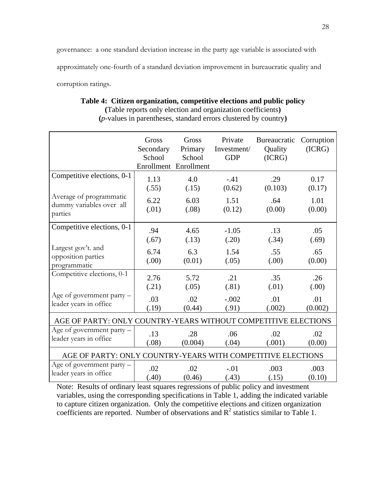governance: a one standard deviation increase in the party age variable is associated with approximately one-fourth of a standard deviation improvement in bureaucratic quality and corruption ratings.

|                                                                | Gross<br>Secondary<br>School | Gross<br>Primary<br>School<br>Enrollment Enrollment | Private<br>Investment/<br><b>GDP</b> | Bureaucratic<br>Quality<br>(ICRG) | Corruption<br>(ICRG) |  |
|----------------------------------------------------------------|------------------------------|-----------------------------------------------------|--------------------------------------|-----------------------------------|----------------------|--|
| Competitive elections, 0-1                                     | 1.13                         | 4.0                                                 | $-.41$                               | .29                               | 0.17                 |  |
|                                                                | (.55)                        | (.15)                                               | (0.62)                               | (0.103)                           | (0.17)               |  |
| Average of programmatic<br>dummy variables over all<br>parties | 6.22<br>(.01)                | 6.03<br>(.08)                                       | 1.51<br>(0.12)                       | .64<br>(0.00)                     | 1.01<br>(0.00)       |  |
| Competitive elections, 0-1                                     | .94                          | 4.65                                                | $-1.05$                              | .13                               | .05                  |  |
|                                                                | (.67)                        | (.13)                                               | (.20)                                | (.34)                             | (.69)                |  |
| Largest gov't. and<br>opposition parties<br>programmatic       | 6.74<br>(0.00)               | 6.3<br>(0.01)                                       | 1.54<br>(.05)                        | .55<br>(0.00)                     | .65<br>(0.00)        |  |
| Competitive elections, 0-1                                     | 2.76                         | 5.72                                                | .21                                  | .35                               | .26                  |  |
|                                                                | (.21)                        | (.05)                                               | (.81)                                | (.01)                             | (.00)                |  |
| Age of government party -                                      | .03                          | .02                                                 | $-.002$                              | .01                               | .01                  |  |
| leader years in office                                         | (.19)                        | (0.44)                                              | (.91)                                | (.002)                            | (0.002)              |  |
| AGE OF PARTY: ONLY COUNTRY-YEARS WITHOUT COMPETITIVE ELECTIONS |                              |                                                     |                                      |                                   |                      |  |
| Age of government party -                                      | .13                          | .28                                                 | .06                                  | .02                               | .02                  |  |
| leader years in office                                         | (.08)                        | (0.004)                                             | (.04)                                | (.001)                            | (0.00)               |  |
| AGE OF PARTY: ONLY COUNTRY-YEARS WITH COMPETITIVE ELECTIONS    |                              |                                                     |                                      |                                   |                      |  |
| Age of government party -                                      | .02                          | .02                                                 | $-.01$                               | .003                              | .003                 |  |
| leader years in office                                         | (.40)                        | (0.46)                                              | (.43)                                | (.15)                             | (0.10)               |  |

#### **Table 4: Citizen organization, competitive elections and public policy**

**(**Table reports only election and organization coefficients**) (***p*-values in parentheses, standard errors clustered by country**)**

Note: Results of ordinary least squares regressions of public policy and investment variables, using the corresponding specifications in Table 1, adding the indicated variable to capture citizen organization. Only the competitive elections and citizen organization coefficients are reported. Number of observations and  $R^2$  statistics similar to Table 1.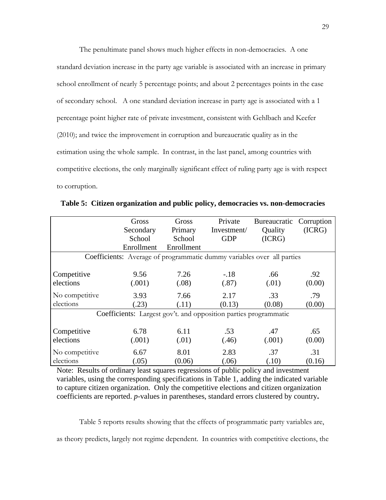The penultimate panel shows much higher effects in non-democracies. A one standard deviation increase in the party age variable is associated with an increase in primary school enrollment of nearly 5 percentage points; and about 2 percentages points in the case of secondary school. A one standard deviation increase in party age is associated with a 1 percentage point higher rate of private investment, consistent with Gehlbach and Keefer (2010); and twice the improvement in corruption and bureaucratic quality as in the estimation using the whole sample. In contrast, in the last panel, among countries with competitive elections, the only marginally significant effect of ruling party age is with respect to corruption.

|                                                                        | Gross      | Gross      | Private     | Bureaucratic Corruption |        |  |  |  |
|------------------------------------------------------------------------|------------|------------|-------------|-------------------------|--------|--|--|--|
|                                                                        | Secondary  | Primary    | Investment/ | Quality                 | (ICRG) |  |  |  |
|                                                                        | School     | School     | <b>GDP</b>  | (ICRG)                  |        |  |  |  |
|                                                                        | Enrollment | Enrollment |             |                         |        |  |  |  |
| Coefficients: Average of programmatic dummy variables over all parties |            |            |             |                         |        |  |  |  |
| Competitive                                                            | 9.56       | 7.26       | $-.18$      | .66                     | .92    |  |  |  |
| elections                                                              | (.001)     | (.08)      | (.87)       | (.01)                   | (0.00) |  |  |  |
| No competitive                                                         | 3.93       | 7.66       | 2.17        | .33                     | .79    |  |  |  |
| elections                                                              | (.23)      | (.11)      | (0.13)      | (0.08)                  | (0.00) |  |  |  |
| Coefficients: Largest gov't. and opposition parties programmatic       |            |            |             |                         |        |  |  |  |
| Competitive                                                            | 6.78       | 6.11       | .53         | .47                     | .65    |  |  |  |
| elections                                                              | (.001)     | (.01)      | (.46)       | (.001)                  | (0.00) |  |  |  |
| No competitive                                                         | 6.67       | 8.01       | 2.83        | .37                     | .31    |  |  |  |
| elections                                                              | (.05)      | (0.06)     | (.06)       | (.10)                   | (0.16) |  |  |  |

**Table 5: Citizen organization and public policy, democracies vs. non-democracies**

Note: Results of ordinary least squares regressions of public policy and investment variables, using the corresponding specifications in Table 1, adding the indicated variable to capture citizen organization. Only the competitive elections and citizen organization coefficients are reported. *p*-values in parentheses, standard errors clustered by country**.** 

Table 5 reports results showing that the effects of programmatic party variables are, as theory predicts, largely not regime dependent. In countries with competitive elections, the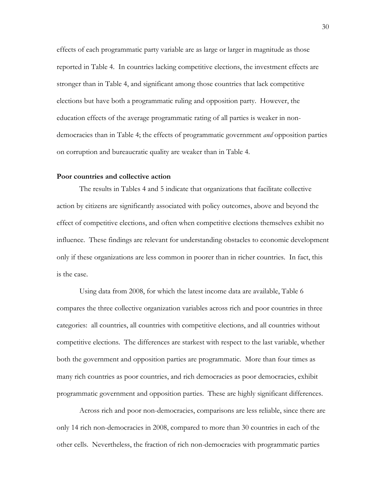effects of each programmatic party variable are as large or larger in magnitude as those reported in Table 4. In countries lacking competitive elections, the investment effects are stronger than in Table 4, and significant among those countries that lack competitive elections but have both a programmatic ruling and opposition party. However, the education effects of the average programmatic rating of all parties is weaker in nondemocracies than in Table 4; the effects of programmatic government *and* opposition parties on corruption and bureaucratic quality are weaker than in Table 4.

#### **Poor countries and collective action**

The results in Tables 4 and 5 indicate that organizations that facilitate collective action by citizens are significantly associated with policy outcomes, above and beyond the effect of competitive elections, and often when competitive elections themselves exhibit no influence. These findings are relevant for understanding obstacles to economic development only if these organizations are less common in poorer than in richer countries. In fact, this is the case.

Using data from 2008, for which the latest income data are available, Table 6 compares the three collective organization variables across rich and poor countries in three categories: all countries, all countries with competitive elections, and all countries without competitive elections. The differences are starkest with respect to the last variable, whether both the government and opposition parties are programmatic. More than four times as many rich countries as poor countries, and rich democracies as poor democracies, exhibit programmatic government and opposition parties. These are highly significant differences.

Across rich and poor non-democracies, comparisons are less reliable, since there are only 14 rich non-democracies in 2008, compared to more than 30 countries in each of the other cells. Nevertheless, the fraction of rich non-democracies with programmatic parties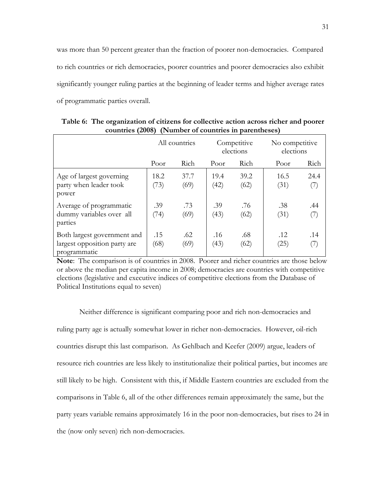was more than 50 percent greater than the fraction of poorer non-democracies. Compared to rich countries or rich democracies, poorer countries and poorer democracies also exhibit significantly younger ruling parties at the beginning of leader terms and higher average rates of programmatic parties overall.

|                                                                             | All countries |              | Competitive<br>elections |              | No competitive<br>elections |             |
|-----------------------------------------------------------------------------|---------------|--------------|--------------------------|--------------|-----------------------------|-------------|
|                                                                             | Poor          | Rich         | Poor                     | Rich         | Poor                        | Rich        |
| Age of largest governing<br>party when leader took<br>power                 | 18.2<br>(73)  | 37.7<br>(69) | 19.4<br>(42)             | 39.2<br>(62) | 16.5<br>(31)                | 24.4<br>(7) |
| Average of programmatic<br>dummy variables over all<br>parties              | .39<br>(74)   | .73<br>(69)  | .39<br>(43)              | .76<br>(62)  | .38<br>(31)                 | .44<br>(7)  |
| Both largest government and<br>largest opposition party are<br>programmatic | .15<br>(68)   | .62<br>(69)  | .16<br>(43)              | .68<br>(62)  | .12<br>(25)                 | .14<br>(7)  |

**Table 6: The organization of citizens for collective action across richer and poorer countries (2008) (Number of countries in parentheses)**

**Note**: The comparison is of countries in 2008. Poorer and richer countries are those below or above the median per capita income in 2008; democracies are countries with competitive elections (legislative and executive indices of competitive elections from the Database of Political Institutions equal to seven)

Neither difference is significant comparing poor and rich non-democracies and ruling party age is actually somewhat lower in richer non-democracies. However, oil-rich countries disrupt this last comparison. As Gehlbach and Keefer (2009) argue, leaders of resource rich countries are less likely to institutionalize their political parties, but incomes are still likely to be high. Consistent with this, if Middle Eastern countries are excluded from the comparisons in Table 6, all of the other differences remain approximately the same, but the party years variable remains approximately 16 in the poor non-democracies, but rises to 24 in the (now only seven) rich non-democracies.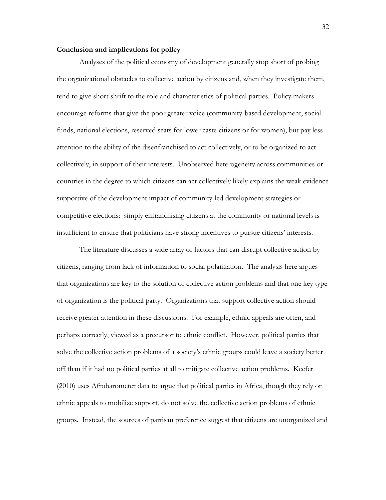#### **Conclusion and implications for policy**

Analyses of the political economy of development generally stop short of probing the organizational obstacles to collective action by citizens and, when they investigate them, tend to give short shrift to the role and characteristics of political parties. Policy makers encourage reforms that give the poor greater voice (community-based development, social funds, national elections, reserved seats for lower caste citizens or for women), but pay less attention to the ability of the disenfranchised to act collectively, or to be organized to act collectively, in support of their interests. Unobserved heterogeneity across communities or countries in the degree to which citizens can act collectively likely explains the weak evidence supportive of the development impact of community-led development strategies or competitive elections: simply enfranchising citizens at the community or national levels is insufficient to ensure that politicians have strong incentives to pursue citizens" interests.

The literature discusses a wide array of factors that can disrupt collective action by citizens, ranging from lack of information to social polarization. The analysis here argues that organizations are key to the solution of collective action problems and that one key type of organization is the political party. Organizations that support collective action should receive greater attention in these discussions. For example, ethnic appeals are often, and perhaps correctly, viewed as a precursor to ethnic conflict. However, political parties that solve the collective action problems of a society"s ethnic groups could leave a society better off than if it had no political parties at all to mitigate collective action problems. Keefer (2010) uses Afrobarometer data to argue that political parties in Africa, though they rely on ethnic appeals to mobilize support, do not solve the collective action problems of ethnic groups. Instead, the sources of partisan preference suggest that citizens are unorganized and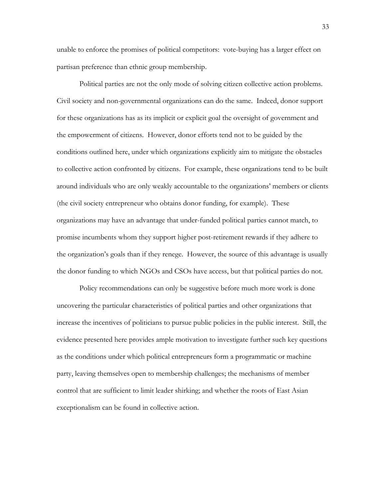unable to enforce the promises of political competitors: vote-buying has a larger effect on partisan preference than ethnic group membership.

Political parties are not the only mode of solving citizen collective action problems. Civil society and non-governmental organizations can do the same. Indeed, donor support for these organizations has as its implicit or explicit goal the oversight of government and the empowerment of citizens. However, donor efforts tend not to be guided by the conditions outlined here, under which organizations explicitly aim to mitigate the obstacles to collective action confronted by citizens. For example, these organizations tend to be built around individuals who are only weakly accountable to the organizations" members or clients (the civil society entrepreneur who obtains donor funding, for example). These organizations may have an advantage that under-funded political parties cannot match, to promise incumbents whom they support higher post-retirement rewards if they adhere to the organization"s goals than if they renege. However, the source of this advantage is usually the donor funding to which NGOs and CSOs have access, but that political parties do not.

Policy recommendations can only be suggestive before much more work is done uncovering the particular characteristics of political parties and other organizations that increase the incentives of politicians to pursue public policies in the public interest. Still, the evidence presented here provides ample motivation to investigate further such key questions as the conditions under which political entrepreneurs form a programmatic or machine party, leaving themselves open to membership challenges; the mechanisms of member control that are sufficient to limit leader shirking; and whether the roots of East Asian exceptionalism can be found in collective action.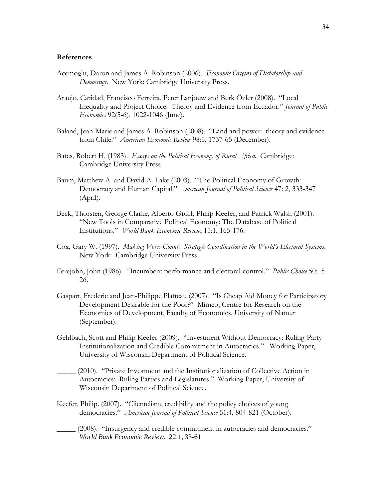#### **References**

- Acemoglu, Daron and James A. Robinson (2006). *Economic Origins of Dictatorship and Democracy*. New York: Cambridge University Press.
- Araujo, Caridad, Francisco Ferreira, Peter Lanjouw and Berk Özler (2008). "Local Inequality and Project Choice: Theory and Evidence from Ecuador." *Journal of Public Economics* 92(5-6), 1022-1046 (June).
- Baland, Jean-Marie and James A. Robinson (2008). "Land and power: theory and evidence from Chile." *American Economic Review* 98:5, 1737-65 (December).
- Bates, Robert H. (1983). *Essays on the Political Economy of Rural Africa*. Cambridge: Cambridge University Press
- Baum, Matthew A. and David A. Lake (2003). "The Political Economy of Growth: Democracy and Human Capital." *American Journal of Political Science* 47: 2, 333-347 (April).
- Beck, Thorsten, George Clarke, Alberto Groff, Philip Keefer, and Patrick Walsh (2001). "New Tools in Comparative Political Economy: The Database of Political Institutions." *World Bank Economic Review*, 15:1, 165-176.
- Cox, Gary W. (1997). *Making Votes Count: Strategic Coordination in the World's Electoral Systems*. New York: Cambridge University Press.
- Ferejohn, John (1986). "Incumbent performance and electoral control." *Public Choice* 50: 5- 26.
- Gaspart, Frederic and Jean-Philippe Platteau (2007). "Is Cheap Aid Money for Participatory Development Desirable for the Poor?" Mimeo, Centre for Research on the Economics of Development, Faculty of Economics, University of Namur (September).
- Gehlbach, Scott and Philip Keefer (2009). "Investment Without Democracy: Ruling-Party Institutionalization and Credible Commitment in Autocracies." Working Paper, University of Wisconsin Department of Political Science.
- \_\_\_\_\_ (2010). "Private Investment and the Institutionalization of Collective Action in Autocracies: Ruling Parties and Legislatures." Working Paper, University of Wisconsin Department of Political Science.
- Keefer, Philip. (2007). "Clientelism, credibility and the policy choices of young democracies." *American Journal of Political Science* 51:4, 804-821 (October).
- \_\_\_\_\_ (2008). "Insurgency and credible commitment in autocracies and democracies." *World Bank Economic Review*. 22:1, 33-61